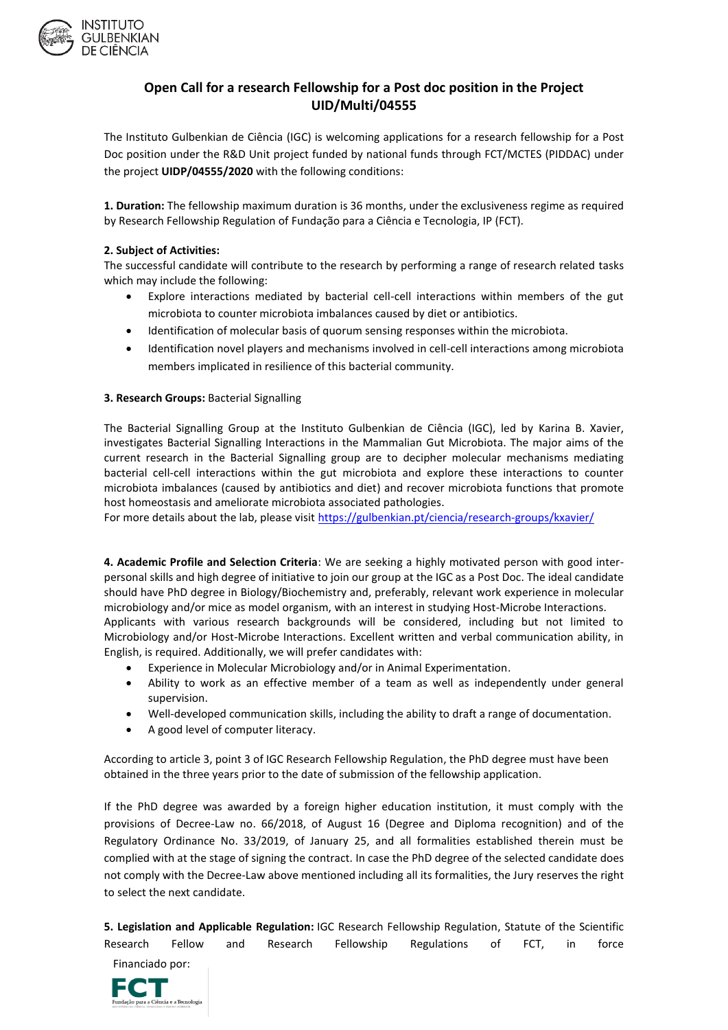

## **Open Call for a research Fellowship for a Post doc position in the Project UID/Multi/04555**

The Instituto Gulbenkian de Ciência (IGC) is welcoming applications for a research fellowship for a Post Doc position under the R&D Unit project funded by national funds through FCT/MCTES (PIDDAC) under the project **UIDP/04555/2020** with the following conditions:

**1. Duration:** The fellowship maximum duration is 36 months, under the exclusiveness regime as required by Research Fellowship Regulation of Fundação para a Ciência e Tecnologia, IP (FCT).

## **2. Subject of Activities:**

The successful candidate will contribute to the research by performing a range of research related tasks which may include the following:

- Explore interactions mediated by bacterial cell-cell interactions within members of the gut microbiota to counter microbiota imbalances caused by diet or antibiotics.
- Identification of molecular basis of quorum sensing responses within the microbiota.
- Identification novel players and mechanisms involved in cell-cell interactions among microbiota members implicated in resilience of this bacterial community.

## **3. Research Groups:** Bacterial Signalling

The Bacterial Signalling Group at the Instituto Gulbenkian de Ciência (IGC), led by Karina B. Xavier, investigates Bacterial Signalling Interactions in the Mammalian Gut Microbiota. The major aims of the current research in the Bacterial Signalling group are to decipher molecular mechanisms mediating bacterial cell-cell interactions within the gut microbiota and explore these interactions to counter microbiota imbalances (caused by antibiotics and diet) and recover microbiota functions that promote host homeostasis and ameliorate microbiota associated pathologies.

For more details about the lab, please visit<https://gulbenkian.pt/ciencia/research-groups/kxavier/>

**4. Academic Profile and Selection Criteria**: We are seeking a highly motivated person with good interpersonal skills and high degree of initiative to join our group at the IGC as a Post Doc. The ideal candidate should have PhD degree in Biology/Biochemistry and, preferably, relevant work experience in molecular microbiology and/or mice as model organism, with an interest in studying Host-Microbe Interactions. Applicants with various research backgrounds will be considered, including but not limited to Microbiology and/or Host-Microbe Interactions. Excellent written and verbal communication ability, in English, is required. Additionally, we will prefer candidates with:

- Experience in Molecular Microbiology and/or in Animal Experimentation.
- Ability to work as an effective member of a team as well as independently under general supervision.
- Well-developed communication skills, including the ability to draft a range of documentation.
- A good level of computer literacy.

According to article 3, point 3 of IGC Research Fellowship Regulation, the PhD degree must have been obtained in the three years prior to the date of submission of the fellowship application.

If the PhD degree was awarded by a foreign higher education institution, it must comply with the provisions of Decree-Law no. 66/2018, of August 16 (Degree and Diploma recognition) and of the Regulatory Ordinance No. 33/2019, of January 25, and all formalities established therein must be complied with at the stage of signing the contract. In case the PhD degree of the selected candidate does not comply with the Decree-Law above mentioned including all its formalities, the Jury reserves the right to select the next candidate.

**5. Legislation and Applicable Regulation:** IGC Research Fellowship Regulation, Statute of the Scientific Research Fellow and Research Fellowship Regulations of FCT, in force